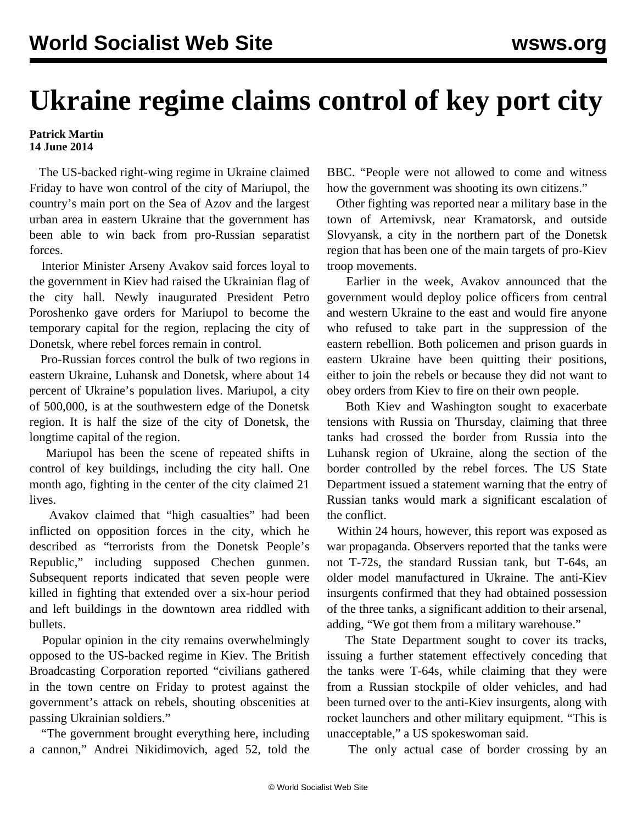## **Ukraine regime claims control of key port city**

## **Patrick Martin 14 June 2014**

 The US-backed right-wing regime in Ukraine claimed Friday to have won control of the city of Mariupol, the country's main port on the Sea of Azov and the largest urban area in eastern Ukraine that the government has been able to win back from pro-Russian separatist forces.

 Interior Minister Arseny Avakov said forces loyal to the government in Kiev had raised the Ukrainian flag of the city hall. Newly inaugurated President Petro Poroshenko gave orders for Mariupol to become the temporary capital for the region, replacing the city of Donetsk, where rebel forces remain in control.

 Pro-Russian forces control the bulk of two regions in eastern Ukraine, Luhansk and Donetsk, where about 14 percent of Ukraine's population lives. Mariupol, a city of 500,000, is at the southwestern edge of the Donetsk region. It is half the size of the city of Donetsk, the longtime capital of the region.

 Mariupol has been the scene of repeated shifts in control of key buildings, including the city hall. One month ago, fighting in the center of the city claimed 21 lives.

 Avakov claimed that "high casualties" had been inflicted on opposition forces in the city, which he described as "terrorists from the Donetsk People's Republic," including supposed Chechen gunmen. Subsequent reports indicated that seven people were killed in fighting that extended over a six-hour period and left buildings in the downtown area riddled with bullets.

 Popular opinion in the city remains overwhelmingly opposed to the US-backed regime in Kiev. The British Broadcasting Corporation reported "civilians gathered in the town centre on Friday to protest against the government's attack on rebels, shouting obscenities at passing Ukrainian soldiers."

 "The government brought everything here, including a cannon," Andrei Nikidimovich, aged 52, told the BBC. "People were not allowed to come and witness how the government was shooting its own citizens."

 Other fighting was reported near a military base in the town of Artemivsk, near Kramatorsk, and outside Slovyansk, a city in the northern part of the Donetsk region that has been one of the main targets of pro-Kiev troop movements.

 Earlier in the week, Avakov announced that the government would deploy police officers from central and western Ukraine to the east and would fire anyone who refused to take part in the suppression of the eastern rebellion. Both policemen and prison guards in eastern Ukraine have been quitting their positions, either to join the rebels or because they did not want to obey orders from Kiev to fire on their own people.

 Both Kiev and Washington sought to exacerbate tensions with Russia on Thursday, claiming that three tanks had crossed the border from Russia into the Luhansk region of Ukraine, along the section of the border controlled by the rebel forces. The US State Department issued a statement warning that the entry of Russian tanks would mark a significant escalation of the conflict.

 Within 24 hours, however, this report was exposed as war propaganda. Observers reported that the tanks were not T-72s, the standard Russian tank, but T-64s, an older model manufactured in Ukraine. The anti-Kiev insurgents confirmed that they had obtained possession of the three tanks, a significant addition to their arsenal, adding, "We got them from a military warehouse."

 The State Department sought to cover its tracks, issuing a further statement effectively conceding that the tanks were T-64s, while claiming that they were from a Russian stockpile of older vehicles, and had been turned over to the anti-Kiev insurgents, along with rocket launchers and other military equipment. "This is unacceptable," a US spokeswoman said.

The only actual case of border crossing by an